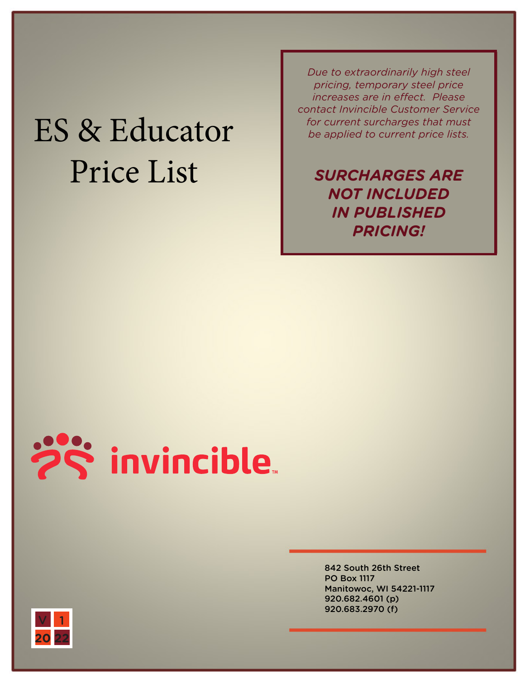## ES & Educator Price List

*Due to extraordinarily high steel pricing, temporary steel price increases are in effect. Please contact Invincible Customer Service for current surcharges that must be applied to current price lists.* 

*SURCHARGES ARE NOT INCLUDED IN PUBLISHED PRICING!*



842 South 26th Street PO Box 1117 Manitowoc, WI 54221-1117 920.682.4601 (p) 920.683.2970 (f)

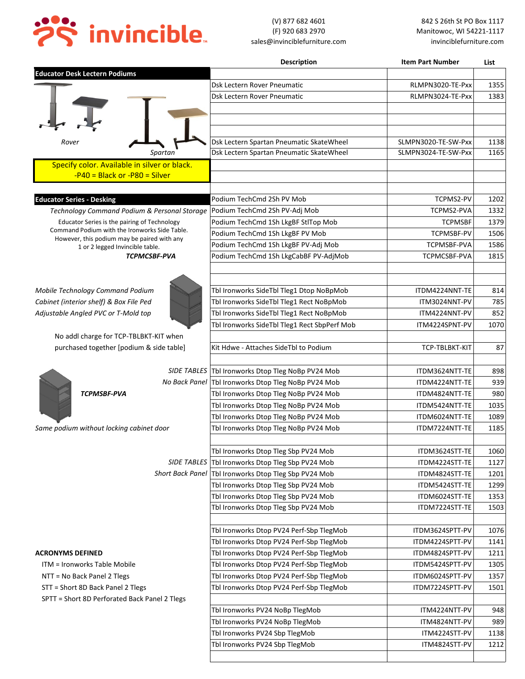

|                                                                                               | <b>Description</b>                                                                         | <b>Item Part Number</b>          | List       |
|-----------------------------------------------------------------------------------------------|--------------------------------------------------------------------------------------------|----------------------------------|------------|
| <b>Educator Desk Lectern Podiums</b>                                                          |                                                                                            |                                  |            |
|                                                                                               | Dsk Lectern Rover Pneumatic                                                                | RLMPN3020-TE-Pxx                 | 1355       |
|                                                                                               | Dsk Lectern Rover Pneumatic                                                                | RLMPN3024-TE-Pxx                 | 1383       |
|                                                                                               |                                                                                            |                                  |            |
|                                                                                               |                                                                                            |                                  |            |
|                                                                                               |                                                                                            |                                  |            |
| Rover                                                                                         | Dsk Lectern Spartan Pneumatic SkateWheel                                                   | SLMPN3020-TE-SW-Pxx              | 1138       |
| Spartan                                                                                       | Dsk Lectern Spartan Pneumatic SkateWheel                                                   | SLMPN3024-TE-SW-Pxx              | 1165       |
| Specify color. Available in silver or black.                                                  |                                                                                            |                                  |            |
| $-P40 = Black or -P80 = Silver$                                                               |                                                                                            |                                  |            |
|                                                                                               |                                                                                            |                                  |            |
| <b>Educator Series - Desking</b>                                                              | Podium TechCmd 2Sh PV Mob                                                                  | TCPMS2-PV                        | 1202       |
| Technology Command Podium & Personal Storage                                                  | Podium TechCmd 2Sh PV-Adj Mob                                                              | <b>TCPMS2-PVA</b>                | 1332       |
| Educator Series is the pairing of Technology<br>Command Podium with the Ironworks Side Table. | Podium TechCmd 1Sh LkgBF StlTop Mob                                                        | <b>TCPMSBF</b>                   | 1379       |
| However, this podium may be paired with any                                                   | Podium TechCmd 1Sh LkgBF PV Mob                                                            | <b>TCPMSBF-PV</b>                | 1506       |
| 1 or 2 legged Invincible table.                                                               | Podium TechCmd 1Sh LkgBF PV-Adj Mob                                                        | <b>TCPMSBF-PVA</b>               | 1586       |
| <b>TCPMCSBF-PVA</b>                                                                           | Podium TechCmd 1Sh LkgCabBF PV-AdjMob                                                      | TCPMCSBF-PVA                     | 1815       |
|                                                                                               |                                                                                            |                                  |            |
|                                                                                               |                                                                                            |                                  |            |
| Mobile Technology Command Podium                                                              | Tbl Ironworks SideTbl Tleg1 Dtop NoBpMob                                                   | ITDM4224NNT-TE                   | 814        |
| Cabinet (interior shelf) & Box File Ped                                                       | Tbl Ironworks SideTbl Tleg1 Rect NoBpMob                                                   | ITM3024NNT-PV                    | 785        |
| Adjustable Angled PVC or T-Mold top                                                           | Tbl Ironworks SideTbl Tleg1 Rect NoBpMob                                                   | ITM4224NNT-PV                    | 852        |
|                                                                                               | Tbl Ironworks SideTbl Tleg1 Rect SbpPerf Mob                                               | ITM4224SPNT-PV                   | 1070       |
| No addl charge for TCP-TBLBKT-KIT when                                                        |                                                                                            |                                  |            |
| purchased together [podium & side table]                                                      | Kit Hdwe - Attaches SideTbl to Podium                                                      | TCP-TBLBKT-KIT                   | 87         |
|                                                                                               |                                                                                            |                                  |            |
| No Back Panel                                                                                 | SIDE TABLES Tbl Ironworks Dtop Tleg NoBp PV24 Mob<br>Tbl Ironworks Dtop Tleg NoBp PV24 Mob | ITDM3624NTT-TE                   | 898<br>939 |
| <b>TCPMSBF-PVA</b>                                                                            | Tbl Ironworks Dtop Tleg NoBp PV24 Mob                                                      | ITDM4224NTT-TE<br>ITDM4824NTT-TE | 980        |
|                                                                                               | Tbl Ironworks Dtop Tleg NoBp PV24 Mob                                                      | ITDM5424NTT-TE                   | 1035       |
|                                                                                               | Tbl Ironworks Dtop Tleg NoBp PV24 Mob                                                      | ITDM6024NTT-TE                   | 1089       |
| Same podium without locking cabinet door                                                      | Tbl Ironworks Dtop Tleg NoBp PV24 Mob                                                      | ITDM7224NTT-TE                   | 1185       |
|                                                                                               |                                                                                            |                                  |            |
|                                                                                               | Tbl Ironworks Dtop Tleg Sbp PV24 Mob                                                       | ITDM3624STT-TE                   | 1060       |
|                                                                                               | SIDE TABLES   Tbl Ironworks Dtop Tleg Sbp PV24 Mob                                         | ITDM4224STT-TE                   | 1127       |
|                                                                                               | Short Back Panel   Tbl Ironworks Dtop Tleg Sbp PV24 Mob                                    | ITDM4824STT-TE                   | 1201       |
|                                                                                               | Tbl Ironworks Dtop Tleg Sbp PV24 Mob                                                       | ITDM5424STT-TE                   | 1299       |
|                                                                                               | Tbl Ironworks Dtop Tleg Sbp PV24 Mob                                                       | ITDM6024STT-TE                   | 1353       |
|                                                                                               | Tbl Ironworks Dtop Tleg Sbp PV24 Mob                                                       | ITDM7224STT-TE                   | 1503       |
|                                                                                               |                                                                                            |                                  |            |
|                                                                                               | Tbl Ironworks Dtop PV24 Perf-Sbp TlegMob                                                   | ITDM3624SPTT-PV                  | 1076       |
|                                                                                               | Tbl Ironworks Dtop PV24 Perf-Sbp TlegMob                                                   | ITDM4224SPTT-PV                  | 1141       |
| <b>ACRONYMS DEFINED</b>                                                                       | Tbl Ironworks Dtop PV24 Perf-Sbp TlegMob                                                   | ITDM4824SPTT-PV                  | 1211       |
| ITM = Ironworks Table Mobile                                                                  | Tbl Ironworks Dtop PV24 Perf-Sbp TlegMob                                                   | ITDM5424SPTT-PV                  | 1305       |
| NTT = No Back Panel 2 Tlegs                                                                   | Tbl Ironworks Dtop PV24 Perf-Sbp TlegMob                                                   | ITDM6024SPTT-PV                  | 1357       |
| STT = Short 8D Back Panel 2 Tlegs                                                             | Tbl Ironworks Dtop PV24 Perf-Sbp TlegMob                                                   | ITDM7224SPTT-PV                  | 1501       |
| SPTT = Short 8D Perforated Back Panel 2 Tlegs                                                 |                                                                                            |                                  |            |
|                                                                                               | Tbl Ironworks PV24 NoBp TlegMob                                                            | ITM4224NTT-PV                    | 948        |
|                                                                                               | Tbl Ironworks PV24 NoBp TlegMob                                                            | ITM4824NTT-PV                    | 989        |
|                                                                                               | Tbl Ironworks PV24 Sbp TlegMob                                                             | ITM4224STT-PV                    | 1138       |
|                                                                                               | Tbl Ironworks PV24 Sbp TlegMob                                                             | ITM4824STT-PV                    | 1212       |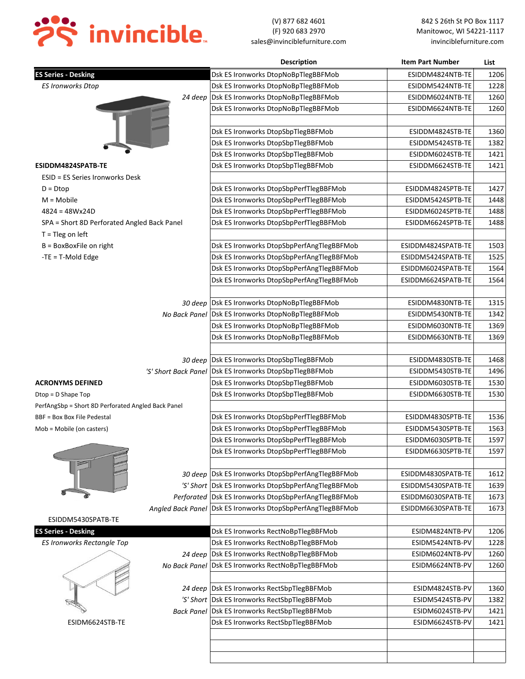

|                                                    |                      | <b>Description</b>                                          | <b>Item Part Number</b>                  | List |
|----------------------------------------------------|----------------------|-------------------------------------------------------------|------------------------------------------|------|
| <b>ES Series - Desking</b>                         |                      | Dsk ES Ironworks DtopNoBpTlegBBFMob                         | ESIDDM4824NTB-TE                         | 1206 |
| <b>ES Ironworks Dtop</b>                           |                      | Dsk ES Ironworks DtopNoBpTlegBBFMob                         | ESIDDM5424NTB-TE                         | 1228 |
|                                                    | 24 deep              | Dsk ES Ironworks DtopNoBpTlegBBFMob                         | ESIDDM6024NTB-TE                         | 1260 |
|                                                    |                      | Dsk ES Ironworks DtopNoBpTlegBBFMob                         | ESIDDM6624NTB-TE                         | 1260 |
|                                                    |                      |                                                             |                                          |      |
|                                                    |                      | Dsk ES Ironworks DtopSbpTlegBBFMob                          | ESIDDM4824STB-TE                         | 1360 |
|                                                    |                      | Dsk ES Ironworks DtopSbpTlegBBFMob                          | ESIDDM5424STB-TE                         | 1382 |
|                                                    |                      | Dsk ES Ironworks DtopSbpTlegBBFMob                          | ESIDDM6024STB-TE                         | 1421 |
| ESIDDM4824SPATB-TE                                 |                      | Dsk ES Ironworks DtopSbpTlegBBFMob                          | ESIDDM6624STB-TE                         | 1421 |
| ESID = ES Series Ironworks Desk                    |                      |                                                             |                                          |      |
| $D = Dtop$                                         |                      | Dsk ES Ironworks DtopSbpPerfTlegBBFMob                      | ESIDDM4824SPTB-TE                        | 1427 |
| $M = Mobile$                                       |                      | Dsk ES Ironworks DtopSbpPerfTlegBBFMob                      | ESIDDM5424SPTB-TE                        | 1448 |
| $4824 = 48Wx24D$                                   |                      | Dsk ES Ironworks DtopSbpPerfTlegBBFMob                      | ESIDDM6024SPTB-TE                        | 1488 |
| SPA = Short 8D Perforated Angled Back Panel        |                      | Dsk ES Ironworks DtopSbpPerfTlegBBFMob                      | ESIDDM6624SPTB-TE                        | 1488 |
| $T =$ Tleg on left                                 |                      |                                                             |                                          |      |
| $B = BoxBoxFile$ on right                          |                      | Dsk ES Ironworks DtopSbpPerfAngTlegBBFMob                   | ESIDDM4824SPATB-TE                       | 1503 |
| $-TE = T-$ Mold Edge                               |                      | Dsk ES Ironworks DtopSbpPerfAngTlegBBFMob                   | ESIDDM5424SPATB-TE                       | 1525 |
|                                                    |                      | Dsk ES Ironworks DtopSbpPerfAngTlegBBFMob                   | ESIDDM6024SPATB-TE                       | 1564 |
|                                                    |                      | Dsk ES Ironworks DtopSbpPerfAngTlegBBFMob                   | ESIDDM6624SPATB-TE                       | 1564 |
|                                                    |                      |                                                             |                                          |      |
|                                                    |                      | 30 deep Dsk ES Ironworks DtopNoBpTlegBBFMob                 | ESIDDM4830NTB-TE                         | 1315 |
|                                                    |                      | No Back Panel   Dsk ES Ironworks DtopNoBpTlegBBFMob         | ESIDDM5430NTB-TE                         | 1342 |
|                                                    |                      | Dsk ES Ironworks DtopNoBpTlegBBFMob                         | ESIDDM6030NTB-TE                         | 1369 |
|                                                    |                      | Dsk ES Ironworks DtopNoBpTlegBBFMob                         | ESIDDM6630NTB-TE                         | 1369 |
|                                                    |                      |                                                             |                                          |      |
|                                                    |                      | 30 deep Dsk ES Ironworks DtopSbpTlegBBFMob                  | ESIDDM4830STB-TE                         | 1468 |
|                                                    | 'S' Short Back Panel | Dsk ES Ironworks DtopSbpTlegBBFMob                          | ESIDDM5430STB-TE                         | 1496 |
| <b>ACRONYMS DEFINED</b>                            |                      | Dsk ES Ironworks DtopSbpTlegBBFMob                          | ESIDDM6030STB-TE                         | 1530 |
| Dtop = D Shape Top                                 |                      | Dsk ES Ironworks DtopSbpTlegBBFMob                          | ESIDDM6630STB-TE                         | 1530 |
| PerfAngSbp = Short 8D Perforated Angled Back Panel |                      |                                                             |                                          |      |
| <b>BBF = Box Box File Pedestal</b>                 |                      | Dsk ES Ironworks DtopSbpPerfTlegBBFMob                      | ESIDDM4830SPTB-TE                        | 1536 |
| Mob = Mobile (on casters)                          |                      | Dsk ES Ironworks DtopSbpPerfTlegBBFMob                      | ESIDDM5430SPTB-TE                        | 1563 |
|                                                    |                      |                                                             | ESIDDM6030SPTB-TE                        | 1597 |
|                                                    |                      | Dsk ES Ironworks DtopSbpPerfTlegBBFMob                      |                                          |      |
|                                                    |                      | Dsk ES Ironworks DtopSbpPerfTlegBBFMob                      | ESIDDM6630SPTB-TE                        | 1597 |
|                                                    |                      |                                                             |                                          |      |
|                                                    |                      | 30 deep Dsk ES Ironworks DtopSbpPerfAngTlegBBFMob           | ESIDDM4830SPATB-TE<br>ESIDDM5430SPATB-TE | 1612 |
|                                                    |                      | 'S' Short   Dsk ES Ironworks DtopSbpPerfAngTlegBBFMob       |                                          | 1639 |
|                                                    |                      | Perforated Dsk ES Ironworks DtopSbpPerfAngTlegBBFMob        | ESIDDM6030SPATB-TE                       | 1673 |
|                                                    |                      | Angled Back Panel Dsk ES Ironworks DtopSbpPerfAngTlegBBFMob | ESIDDM6630SPATB-TE                       | 1673 |
| ESIDDM5430SPATB-TE                                 |                      |                                                             |                                          |      |
| <b>ES Series - Desking</b>                         |                      | Dsk ES Ironworks RectNoBpTlegBBFMob                         | ESIDM4824NTB-PV                          | 1206 |
| <b>ES Ironworks Rectangle Top</b>                  |                      | Dsk ES Ironworks RectNoBpTlegBBFMob                         | ESIDM5424NTB-PV                          | 1228 |
|                                                    |                      | 24 deep Dsk ES Ironworks RectNoBpTlegBBFMob                 | ESIDM6024NTB-PV                          | 1260 |
|                                                    |                      | No Back Panel Dsk ES Ironworks RectNoBpTlegBBFMob           | ESIDM6624NTB-PV                          | 1260 |
|                                                    |                      |                                                             |                                          |      |
|                                                    |                      | 24 deep Dsk ES Ironworks RectSbpTlegBBFMob                  | ESIDM4824STB-PV                          | 1360 |
|                                                    |                      | 'S' Short Dsk ES Ironworks RectSbpTlegBBFMob                | ESIDM5424STB-PV                          | 1382 |
|                                                    |                      | Back Panel Dsk ES Ironworks RectSbpTlegBBFMob               | ESIDM6024STB-PV                          | 1421 |
| ESIDM6624STB-TE                                    |                      | Dsk ES Ironworks RectSbpTlegBBFMob                          | ESIDM6624STB-PV                          | 1421 |
|                                                    |                      |                                                             |                                          |      |
|                                                    |                      |                                                             |                                          |      |
|                                                    |                      |                                                             |                                          |      |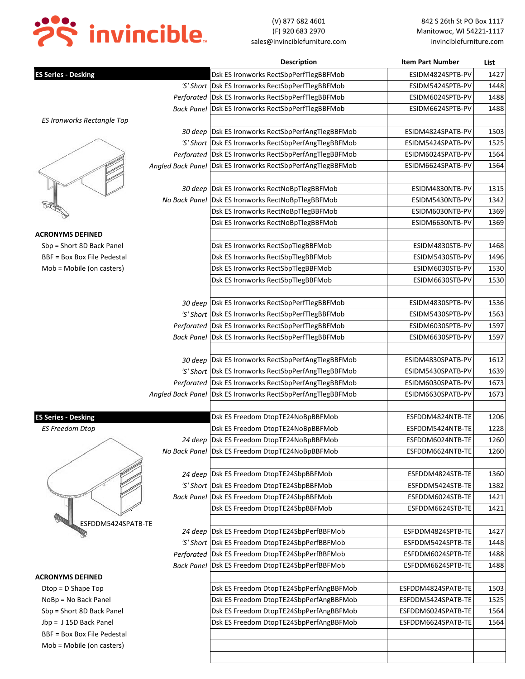

|                             | <b>Description</b>                                            | <b>Item Part Number</b> | List |
|-----------------------------|---------------------------------------------------------------|-------------------------|------|
| <b>ES Series - Desking</b>  | Dsk ES Ironworks RectSbpPerfTlegBBFMob                        | ESIDM4824SPTB-PV        | 1427 |
|                             | 'S' Short   Dsk ES Ironworks RectSbpPerfTlegBBFMob            | ESIDM5424SPTB-PV        | 1448 |
|                             | Perforated   Dsk ES Ironworks RectSbpPerfTlegBBFMob           | ESIDM6024SPTB-PV        | 1488 |
|                             | Back Panel   Dsk ES Ironworks RectSbpPerfTlegBBFMob           | ESIDM6624SPTB-PV        | 1488 |
| ES Ironworks Rectangle Top  |                                                               |                         |      |
|                             | 30 deep   Dsk ES Ironworks RectSbpPerfAngTlegBBFMob           | ESIDM4824SPATB-PV       | 1503 |
|                             | 'S' Short   Dsk ES Ironworks RectSbpPerfAngTlegBBFMob         | ESIDM5424SPATB-PV       | 1525 |
|                             | Perforated Dsk ES Ironworks RectSbpPerfAngTlegBBFMob          | ESIDM6024SPATB-PV       | 1564 |
|                             | Angled Back Panel   Dsk ES Ironworks RectSbpPerfAngTlegBBFMob | ESIDM6624SPATB-PV       | 1564 |
|                             |                                                               |                         |      |
|                             | 30 deep   Dsk ES Ironworks RectNoBpTlegBBFMob                 | ESIDM4830NTB-PV         | 1315 |
|                             | No Back Panel Dsk ES Ironworks RectNoBpTlegBBFMob             | ESIDM5430NTB-PV         | 1342 |
|                             | Dsk ES Ironworks RectNoBpTlegBBFMob                           | ESIDM6030NTB-PV         | 1369 |
|                             | Dsk ES Ironworks RectNoBpTlegBBFMob                           | ESIDM6630NTB-PV         | 1369 |
| <b>ACRONYMS DEFINED</b>     |                                                               |                         |      |
| Sbp = Short 8D Back Panel   | Dsk ES Ironworks RectSbpTlegBBFMob                            | ESIDM4830STB-PV         | 1468 |
| BBF = Box Box File Pedestal | Dsk ES Ironworks RectSbpTlegBBFMob                            | ESIDM5430STB-PV         | 1496 |
| Mob = Mobile (on casters)   | Dsk ES Ironworks RectSbpTlegBBFMob                            | ESIDM6030STB-PV         | 1530 |
|                             | Dsk ES Ironworks RectSbpTlegBBFMob                            | ESIDM6630STB-PV         | 1530 |
|                             |                                                               |                         |      |
|                             | 30 deep Dsk ES Ironworks RectSbpPerfTlegBBFMob                | ESIDM4830SPTB-PV        | 1536 |
|                             | 'S' Short   Dsk ES Ironworks RectSbpPerfTlegBBFMob            | ESIDM5430SPTB-PV        | 1563 |
|                             | Perforated   Dsk ES Ironworks RectSbpPerfTlegBBFMob           | ESIDM6030SPTB-PV        | 1597 |
|                             | Back Panel   Dsk ES Ironworks RectSbpPerfTlegBBFMob           | ESIDM6630SPTB-PV        | 1597 |
|                             |                                                               |                         |      |
|                             | 30 deep Dsk ES Ironworks RectSbpPerfAngTlegBBFMob             | ESIDM4830SPATB-PV       | 1612 |
|                             | 'S' Short   Dsk ES Ironworks RectSbpPerfAngTlegBBFMob         | ESIDM5430SPATB-PV       | 1639 |
|                             | Perforated   Dsk ES Ironworks RectSbpPerfAngTlegBBFMob        | ESIDM6030SPATB-PV       | 1673 |
|                             | Angled Back Panel   Dsk ES Ironworks RectSbpPerfAngTlegBBFMob | ESIDM6630SPATB-PV       | 1673 |
|                             |                                                               |                         |      |
| <b>ES Series - Desking</b>  | Dsk ES Freedom DtopTE24NoBpBBFMob                             | ESFDDM4824NTB-TE        | 1206 |
| <b>ES Freedom Dtop</b>      | Dsk ES Freedom DtopTE24NoBpBBFMob                             | ESFDDM5424NTB-TE        | 1228 |
|                             | 24 deep  Dsk ES Freedom DtopTE24NoBpBBFMob                    | ESFDDM6024NTB-TE        | 1260 |
|                             | No Back Panel   Dsk ES Freedom DtopTE24NoBpBBFMob             | ESFDDM6624NTB-TE        | 1260 |
|                             |                                                               |                         |      |
|                             | 24 deep Dsk ES Freedom DtopTE24SbpBBFMob                      | ESFDDM4824STB-TE        | 1360 |
|                             | 'S' Short   Dsk ES Freedom DtopTE24SbpBBFMob                  | ESFDDM5424STB-TE        | 1382 |
|                             | Back Panel   Dsk ES Freedom DtopTE24SbpBBFMob                 | ESFDDM6024STB-TE        | 1421 |
|                             | Dsk ES Freedom DtopTE24SbpBBFMob                              | ESFDDM6624STB-TE        | 1421 |
| ESFDDM5424SPATB-TE          |                                                               |                         |      |
|                             | 24 deep Dsk ES Freedom DtopTE24SbpPerfBBFMob                  | ESFDDM4824SPTB-TE       | 1427 |
|                             | 'S' Short Dsk ES Freedom DtopTE24SbpPerfBBFMob                | ESFDDM5424SPTB-TE       | 1448 |
|                             | Perforated Dsk ES Freedom DtopTE24SbpPerfBBFMob               | ESFDDM6024SPTB-TE       | 1488 |
|                             | Back Panel Dsk ES Freedom DtopTE24SbpPerfBBFMob               | ESFDDM6624SPTB-TE       | 1488 |
| <b>ACRONYMS DEFINED</b>     |                                                               |                         |      |
| $Dtop = D$ Shape Top        | Dsk ES Freedom DtopTE24SbpPerfAngBBFMob                       | ESFDDM4824SPATB-TE      | 1503 |
| NoBp = No Back Panel        | Dsk ES Freedom DtopTE24SbpPerfAngBBFMob                       | ESFDDM5424SPATB-TE      | 1525 |
| Sbp = Short 8D Back Panel   | Dsk ES Freedom DtopTE24SbpPerfAngBBFMob                       | ESFDDM6024SPATB-TE      | 1564 |
| Jbp = J 15D Back Panel      | Dsk ES Freedom DtopTE24SbpPerfAngBBFMob                       | ESFDDM6624SPATB-TE      | 1564 |
| BBF = Box Box File Pedestal |                                                               |                         |      |
| Mob = Mobile (on casters)   |                                                               |                         |      |
|                             |                                                               |                         |      |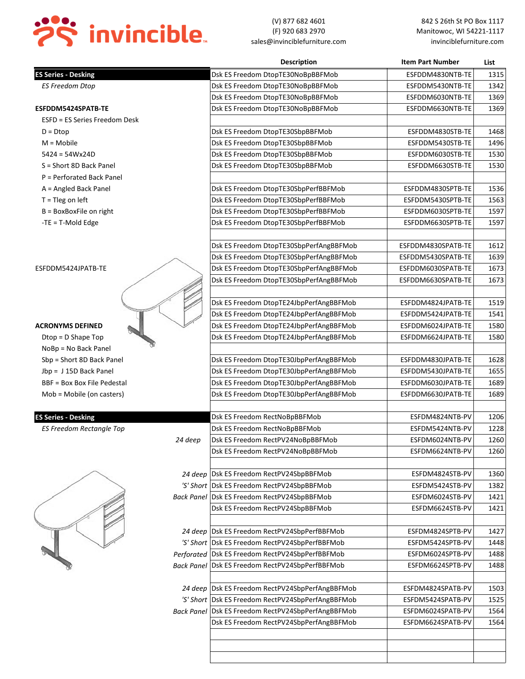

(V) 877 682 4601 842 S 26th St PO Box 1117 (F) 920 683 2970 Manitowoc, WI 54221-1117 sales@invinciblefurniture.com invinciblefurniture.com

|                                    | <b>Description</b>                                  | <b>Item Part Number</b> | List |
|------------------------------------|-----------------------------------------------------|-------------------------|------|
| <b>ES Series - Desking</b>         | Dsk ES Freedom DtopTE30NoBpBBFMob                   | ESFDDM4830NTB-TE        | 1315 |
| <b>ES Freedom Dtop</b>             | Dsk ES Freedom DtopTE30NoBpBBFMob                   | ESFDDM5430NTB-TE        | 1342 |
|                                    | Dsk ES Freedom DtopTE30NoBpBBFMob                   | ESFDDM6030NTB-TE        | 1369 |
| ESFDDM5424SPATB-TE                 | Dsk ES Freedom DtopTE30NoBpBBFMob                   | ESFDDM6630NTB-TE        | 1369 |
| ESFD = ES Series Freedom Desk      |                                                     |                         |      |
| $D = Dtop$                         | Dsk ES Freedom DtopTE30SbpBBFMob                    | ESFDDM4830STB-TE        | 1468 |
| $M = Mobile$                       | Dsk ES Freedom DtopTE30SbpBBFMob                    | ESFDDM5430STB-TE        | 1496 |
| $5424 = 54Wx24D$                   | Dsk ES Freedom DtopTE30SbpBBFMob                    | ESFDDM6030STB-TE        | 1530 |
| S = Short 8D Back Panel            | Dsk ES Freedom DtopTE30SbpBBFMob                    | ESFDDM6630STB-TE        | 1530 |
| P = Perforated Back Panel          |                                                     |                         |      |
| A = Angled Back Panel              | Dsk ES Freedom DtopTE30SbpPerfBBFMob                | ESFDDM4830SPTB-TE       | 1536 |
| $T =$ Tleg on left                 | Dsk ES Freedom DtopTE30SbpPerfBBFMob                | ESFDDM5430SPTB-TE       | 1563 |
| $B = BoxBoxFile$ on right          | Dsk ES Freedom DtopTE30SbpPerfBBFMob                | ESFDDM6030SPTB-TE       | 1597 |
| $-TE = T-Mod E d$                  | Dsk ES Freedom DtopTE30SbpPerfBBFMob                | ESFDDM6630SPTB-TE       | 1597 |
|                                    |                                                     |                         |      |
|                                    | Dsk ES Freedom DtopTE30SbpPerfAngBBFMob             | ESFDDM4830SPATB-TE      | 1612 |
|                                    | Dsk ES Freedom DtopTE30SbpPerfAngBBFMob             | ESFDDM5430SPATB-TE      | 1639 |
| ESFDDM5424JPATB-TE                 | Dsk ES Freedom DtopTE30SbpPerfAngBBFMob             | ESFDDM6030SPATB-TE      | 1673 |
|                                    | Dsk ES Freedom DtopTE30SbpPerfAngBBFMob             | ESFDDM6630SPATB-TE      | 1673 |
|                                    |                                                     |                         |      |
|                                    | Dsk ES Freedom DtopTE24JbpPerfAngBBFMob             | ESFDDM4824JPATB-TE      | 1519 |
|                                    | Dsk ES Freedom DtopTE24JbpPerfAngBBFMob             | ESFDDM5424JPATB-TE      | 1541 |
| <b>ACRONYMS DEFINED</b>            | Dsk ES Freedom DtopTE24JbpPerfAngBBFMob             | ESFDDM6024JPATB-TE      | 1580 |
| $Dtop = D$ Shape Top               | Dsk ES Freedom DtopTE24JbpPerfAngBBFMob             | ESFDDM6624JPATB-TE      | 1580 |
| NoBp = No Back Panel               |                                                     |                         |      |
| Sbp = Short 8D Back Panel          | Dsk ES Freedom DtopTE30JbpPerfAngBBFMob             | ESFDDM4830JPATB-TE      | 1628 |
| Jbp = J 15D Back Panel             | Dsk ES Freedom DtopTE30JbpPerfAngBBFMob             | ESFDDM5430JPATB-TE      | 1655 |
| <b>BBF = Box Box File Pedestal</b> | Dsk ES Freedom DtopTE30JbpPerfAngBBFMob             | ESFDDM6030JPATB-TE      | 1689 |
| Mob = Mobile (on casters)          | Dsk ES Freedom DtopTE30JbpPerfAngBBFMob             | ESFDDM6630JPATB-TE      | 1689 |
| <b>ES Series - Desking</b>         | Dsk ES Freedom RectNoBpBBFMob                       | ESFDM4824NTB-PV         | 1206 |
| <b>ES Freedom Rectangle Top</b>    | Dsk ES Freedom RectNoBpBBFMob                       | ESFDM5424NTB-PV         | 1228 |
| 24 deep                            | Dsk ES Freedom RectPV24NoBpBBFMob                   | ESFDM6024NTB-PV         | 1260 |
|                                    | Dsk ES Freedom RectPV24NoBpBBFMob                   | ESFDM6624NTB-PV         | 1260 |
|                                    |                                                     |                         |      |
|                                    | 24 deep Dsk ES Freedom RectPV24SbpBBFMob            | ESFDM4824STB-PV         | 1360 |
|                                    | 'S' Short   Dsk ES Freedom RectPV24SbpBBFMob        | ESFDM5424STB-PV         | 1382 |
|                                    | Back Panel   Dsk ES Freedom RectPV24SbpBBFMob       | ESFDM6024STB-PV         | 1421 |
|                                    | Dsk ES Freedom RectPV24SbpBBFMob                    | ESFDM6624STB-PV         | 1421 |
|                                    |                                                     |                         |      |
|                                    | 24 deep Dsk ES Freedom RectPV24SbpPerfBBFMob        | ESFDM4824SPTB-PV        | 1427 |
|                                    | 'S' Short   Dsk ES Freedom RectPV24SbpPerfBBFMob    | ESFDM5424SPTB-PV        | 1448 |
|                                    | Perforated Dsk ES Freedom RectPV24SbpPerfBBFMob     | ESFDM6024SPTB-PV        | 1488 |
|                                    | Back Panel   Dsk ES Freedom RectPV24SbpPerfBBFMob   | ESFDM6624SPTB-PV        | 1488 |
|                                    |                                                     |                         |      |
|                                    | 24 deep Dsk ES Freedom RectPV24SbpPerfAngBBFMob     | ESFDM4824SPATB-PV       | 1503 |
|                                    | 'S' Short   Dsk ES Freedom RectPV24SbpPerfAngBBFMob | ESFDM5424SPATB-PV       | 1525 |
|                                    | Back Panel Dsk ES Freedom RectPV24SbpPerfAngBBFMob  | ESFDM6024SPATB-PV       | 1564 |
|                                    | Dsk ES Freedom RectPV24SbpPerfAngBBFMob             | ESFDM6624SPATB-PV       | 1564 |
|                                    |                                                     |                         |      |
|                                    |                                                     |                         |      |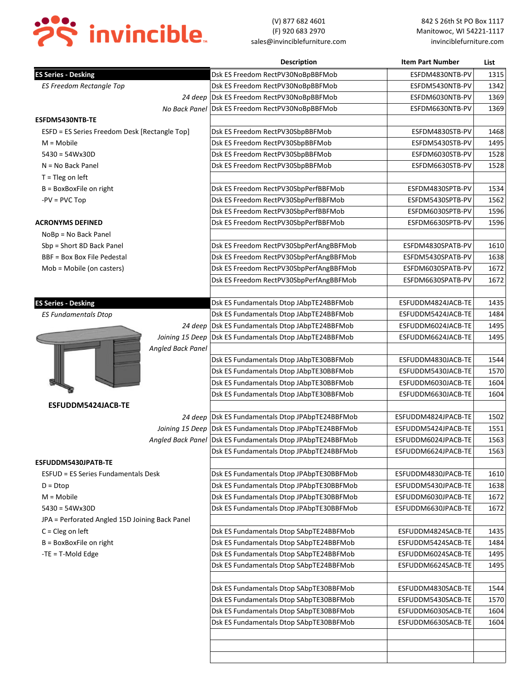

|                                                |                   | <b>Description</b>                                         | <b>Item Part Number</b>                  | List |
|------------------------------------------------|-------------------|------------------------------------------------------------|------------------------------------------|------|
| <b>ES Series - Desking</b>                     |                   | Dsk ES Freedom RectPV30NoBpBBFMob                          | ESFDM4830NTB-PV                          | 1315 |
| <b>ES Freedom Rectangle Top</b>                |                   | Dsk ES Freedom RectPV30NoBpBBFMob                          | ESFDM5430NTB-PV                          | 1342 |
|                                                |                   | 24 deep Dsk ES Freedom RectPV30NoBpBBFMob                  | ESFDM6030NTB-PV                          | 1369 |
|                                                |                   | No Back Panel Dsk ES Freedom RectPV30NoBpBBFMob            | ESFDM6630NTB-PV                          | 1369 |
| ESFDM5430NTB-TE                                |                   |                                                            |                                          |      |
| ESFD = ES Series Freedom Desk [Rectangle Top]  |                   | Dsk ES Freedom RectPV30SbpBBFMob                           | ESFDM4830STB-PV                          | 1468 |
| $M = Mobile$                                   |                   | Dsk ES Freedom RectPV30SbpBBFMob                           | ESFDM5430STB-PV                          | 1495 |
| $5430 = 54Wx30D$                               |                   | Dsk ES Freedom RectPV30SbpBBFMob                           | ESFDM6030STB-PV                          | 1528 |
| $N = No$ Back Panel                            |                   | Dsk ES Freedom RectPV30SbpBBFMob                           | ESFDM6630STB-PV                          | 1528 |
| $T = Tleg$ on left                             |                   |                                                            |                                          |      |
| $B = BoxBoxFile$ on right                      |                   | Dsk ES Freedom RectPV30SbpPerfBBFMob                       | ESFDM4830SPTB-PV                         | 1534 |
| $-PV = PVC Top$                                |                   | Dsk ES Freedom RectPV30SbpPerfBBFMob                       | ESFDM5430SPTB-PV                         | 1562 |
|                                                |                   | Dsk ES Freedom RectPV30SbpPerfBBFMob                       | ESFDM6030SPTB-PV                         | 1596 |
| <b>ACRONYMS DEFINED</b>                        |                   | Dsk ES Freedom RectPV30SbpPerfBBFMob                       | ESFDM6630SPTB-PV                         | 1596 |
| NoBp = No Back Panel                           |                   |                                                            |                                          |      |
| Sbp = Short 8D Back Panel                      |                   | Dsk ES Freedom RectPV30SbpPerfAngBBFMob                    | ESFDM4830SPATB-PV                        | 1610 |
| BBF = Box Box File Pedestal                    |                   | Dsk ES Freedom RectPV30SbpPerfAngBBFMob                    | ESFDM5430SPATB-PV                        | 1638 |
| Mob = Mobile (on casters)                      |                   | Dsk ES Freedom RectPV30SbpPerfAngBBFMob                    | ESFDM6030SPATB-PV                        | 1672 |
|                                                |                   | Dsk ES Freedom RectPV30SbpPerfAngBBFMob                    | ESFDM6630SPATB-PV                        | 1672 |
|                                                |                   |                                                            |                                          |      |
| <b>ES Series - Desking</b>                     |                   | Dsk ES Fundamentals Dtop JAbpTE24BBFMob                    | ESFUDDM4824JACB-TE                       | 1435 |
| <b>ES Fundamentals Dtop</b>                    |                   | Dsk ES Fundamentals Dtop JAbpTE24BBFMob                    | ESFUDDM5424JACB-TE                       | 1484 |
|                                                |                   | 24 deep Dsk ES Fundamentals Dtop JAbpTE24BBFMob            | ESFUDDM6024JACB-TE                       | 1495 |
|                                                |                   | Joining 15 Deep   Dsk ES Fundamentals Dtop JAbpTE24BBFMob  | ESFUDDM6624JACB-TE                       | 1495 |
|                                                | Angled Back Panel |                                                            |                                          |      |
|                                                |                   | Dsk ES Fundamentals Dtop JAbpTE30BBFMob                    | ESFUDDM4830JACB-TE                       | 1544 |
|                                                |                   | Dsk ES Fundamentals Dtop JAbpTE30BBFMob                    | ESFUDDM5430JACB-TE                       | 1570 |
|                                                |                   | Dsk ES Fundamentals Dtop JAbpTE30BBFMob                    | ESFUDDM6030JACB-TE                       | 1604 |
|                                                |                   | Dsk ES Fundamentals Dtop JAbpTE30BBFMob                    | ESFUDDM6630JACB-TE                       | 1604 |
| ESFUDDM5424JACB-TE                             |                   |                                                            |                                          |      |
|                                                |                   | 24 deep Dsk ES Fundamentals Dtop JPAbpTE24BBFMob           | ESFUDDM4824JPACB-TE                      | 1502 |
|                                                |                   | Joining 15 Deep Dsk ES Fundamentals Dtop JPAbpTE24BBFMob   | ESFUDDM5424JPACB-TE                      | 1551 |
|                                                |                   | Angled Back Panel Dsk ES Fundamentals Dtop JPAbpTE24BBFMob | ESFUDDM6024JPACB-TE                      | 1563 |
|                                                |                   | Dsk ES Fundamentals Dtop JPAbpTE24BBFMob                   | ESFUDDM6624JPACB-TE                      | 1563 |
| ESFUDDM5430JPATB-TE                            |                   |                                                            |                                          |      |
| <b>ESFUD = ES Series Fundamentals Desk</b>     |                   | Dsk ES Fundamentals Dtop JPAbpTE30BBFMob                   | ESFUDDM4830JPACB-TE                      | 1610 |
| $D = Dtop$                                     |                   | Dsk ES Fundamentals Dtop JPAbpTE30BBFMob                   | ESFUDDM5430JPACB-TE                      | 1638 |
| $M = Mobile$                                   |                   | Dsk ES Fundamentals Dtop JPAbpTE30BBFMob                   | ESFUDDM6030JPACB-TE                      | 1672 |
| $5430 = 54Wx30D$                               |                   | Dsk ES Fundamentals Dtop JPAbpTE30BBFMob                   | ESFUDDM6630JPACB-TE                      | 1672 |
| JPA = Perforated Angled 15D Joining Back Panel |                   |                                                            |                                          |      |
| $C = Cleg$ on left                             |                   | Dsk ES Fundamentals Dtop SAbpTE24BBFMob                    | ESFUDDM4824SACB-TE                       | 1435 |
| B = BoxBoxFile on right                        |                   | Dsk ES Fundamentals Dtop SAbpTE24BBFMob                    | ESFUDDM5424SACB-TE                       | 1484 |
| $-TE = T-Mod E d$                              |                   | Dsk ES Fundamentals Dtop SAbpTE24BBFMob                    | ESFUDDM6024SACB-TE                       | 1495 |
|                                                |                   | Dsk ES Fundamentals Dtop SAbpTE24BBFMob                    | ESFUDDM6624SACB-TE                       | 1495 |
|                                                |                   |                                                            |                                          |      |
|                                                |                   | Dsk ES Fundamentals Dtop SAbpTE30BBFMob                    | ESFUDDM4830SACB-TE                       | 1544 |
|                                                |                   | Dsk ES Fundamentals Dtop SAbpTE30BBFMob                    | ESFUDDM5430SACB-TE                       | 1570 |
|                                                |                   |                                                            |                                          |      |
|                                                |                   | Dsk ES Fundamentals Dtop SAbpTE30BBFMob                    | ESFUDDM6030SACB-TE<br>ESFUDDM6630SACB-TE | 1604 |
|                                                |                   | Dsk ES Fundamentals Dtop SAbpTE30BBFMob                    |                                          | 1604 |
|                                                |                   |                                                            |                                          |      |
|                                                |                   |                                                            |                                          |      |
|                                                |                   |                                                            |                                          |      |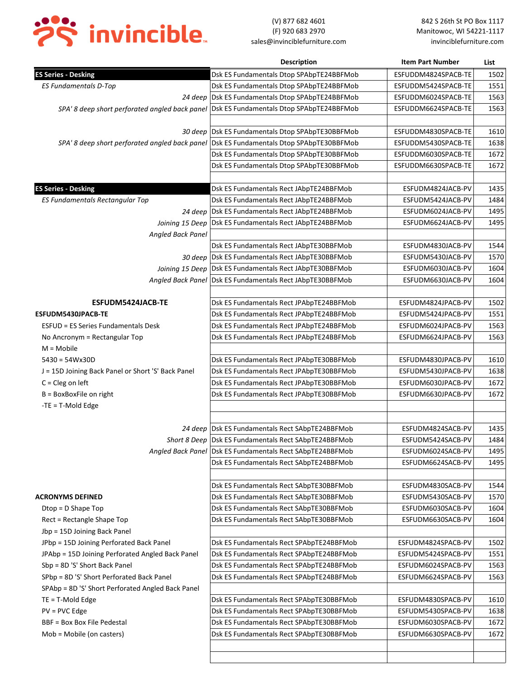

|                                                                                           | <b>Description</b>                                        | <b>Item Part Number</b> | List |
|-------------------------------------------------------------------------------------------|-----------------------------------------------------------|-------------------------|------|
| <b>ES Series - Desking</b>                                                                | Dsk ES Fundamentals Dtop SPAbpTE24BBFMob                  | ESFUDDM4824SPACB-TE     | 1502 |
| <b>ES Fundamentals D-Top</b>                                                              | Dsk ES Fundamentals Dtop SPAbpTE24BBFMob                  | ESFUDDM5424SPACB-TE     | 1551 |
| 24 deep                                                                                   | Dsk ES Fundamentals Dtop SPAbpTE24BBFMob                  | ESFUDDM6024SPACB-TE     | 1563 |
| SPA' 8 deep short perforated angled back panel                                            | Dsk ES Fundamentals Dtop SPAbpTE24BBFMob                  | ESFUDDM6624SPACB-TE     | 1563 |
|                                                                                           |                                                           |                         |      |
|                                                                                           | 30 deep Dsk ES Fundamentals Dtop SPAbpTE30BBFMob          | ESFUDDM4830SPACB-TE     | 1610 |
| SPA' 8 deep short perforated angled back panel   Dsk ES Fundamentals Dtop SPAbpTE30BBFMob |                                                           | ESFUDDM5430SPACB-TE     | 1638 |
|                                                                                           | Dsk ES Fundamentals Dtop SPAbpTE30BBFMob                  | ESFUDDM6030SPACB-TE     | 1672 |
|                                                                                           | Dsk ES Fundamentals Dtop SPAbpTE30BBFMob                  | ESFUDDM6630SPACB-TE     | 1672 |
|                                                                                           |                                                           |                         |      |
| <b>ES Series - Desking</b>                                                                | Dsk ES Fundamentals Rect JAbpTE24BBFMob                   | ESFUDM4824JACB-PV       | 1435 |
| ES Fundamentals Rectangular Top                                                           | Dsk ES Fundamentals Rect JAbpTE24BBFMob                   | ESFUDM5424JACB-PV       | 1484 |
| 24 deep                                                                                   | Dsk ES Fundamentals Rect JAbpTE24BBFMob                   | ESFUDM6024JACB-PV       | 1495 |
| Joining 15 Deep                                                                           | Dsk ES Fundamentals Rect JAbpTE24BBFMob                   | ESFUDM6624JACB-PV       | 1495 |
| Angled Back Panel                                                                         |                                                           |                         |      |
|                                                                                           | Dsk ES Fundamentals Rect JAbpTE30BBFMob                   | ESFUDM4830JACB-PV       | 1544 |
|                                                                                           | 30 deep Dsk ES Fundamentals Rect JAbpTE30BBFMob           | ESFUDM5430JACB-PV       | 1570 |
|                                                                                           | Joining 15 Deep Dsk ES Fundamentals Rect JAbpTE30BBFMob   | ESFUDM6030JACB-PV       | 1604 |
|                                                                                           | Angled Back Panel Dsk ES Fundamentals Rect JAbpTE30BBFMob | ESFUDM6630JACB-PV       | 1604 |
|                                                                                           |                                                           |                         |      |
| ESFUDM5424JACB-TE                                                                         | Dsk ES Fundamentals Rect JPAbpTE24BBFMob                  | ESFUDM4824JPACB-PV      | 1502 |
| ESFUDM5430JPACB-TE                                                                        | Dsk ES Fundamentals Rect JPAbpTE24BBFMob                  | ESFUDM5424JPACB-PV      | 1551 |
| <b>ESFUD = ES Series Fundamentals Desk</b>                                                | Dsk ES Fundamentals Rect JPAbpTE24BBFMob                  | ESFUDM6024JPACB-PV      | 1563 |
| No Ancronym = Rectangular Top                                                             | Dsk ES Fundamentals Rect JPAbpTE24BBFMob                  | ESFUDM6624JPACB-PV      | 1563 |
| $M = Mobile$                                                                              |                                                           |                         |      |
| $5430 = 54Wx30D$                                                                          | Dsk ES Fundamentals Rect JPAbpTE30BBFMob                  | ESFUDM4830JPACB-PV      | 1610 |
| J = 15D Joining Back Panel or Short 'S' Back Panel                                        | Dsk ES Fundamentals Rect JPAbpTE30BBFMob                  | ESFUDM5430JPACB-PV      | 1638 |
| $C = Cleg$ on left                                                                        | Dsk ES Fundamentals Rect JPAbpTE30BBFMob                  | ESFUDM6030JPACB-PV      | 1672 |
| $B = BoxBoxFile$ on right                                                                 | Dsk ES Fundamentals Rect JPAbpTE30BBFMob                  | ESFUDM6630JPACB-PV      | 1672 |
| $-TE = T-$ Mold Edge                                                                      |                                                           |                         |      |
|                                                                                           |                                                           |                         |      |
|                                                                                           | 24 deep Dsk ES Fundamentals Rect SAbpTE24BBFMob           | ESFUDM4824SACB-PV       | 1435 |
|                                                                                           | Short 8 Deep Dsk ES Fundamentals Rect SAbpTE24BBFMob      | ESFUDM5424SACB-PV       | 1484 |
|                                                                                           | Angled Back Panel Dsk ES Fundamentals Rect SAbpTE24BBFMob | ESFUDM6024SACB-PV       | 1495 |
|                                                                                           | Dsk ES Fundamentals Rect SAbpTE24BBFMob                   | ESFUDM6624SACB-PV       | 1495 |
|                                                                                           |                                                           |                         |      |
|                                                                                           | Dsk ES Fundamentals Rect SAbpTE30BBFMob                   | ESFUDM4830SACB-PV       | 1544 |
| <b>ACRONYMS DEFINED</b>                                                                   | Dsk ES Fundamentals Rect SAbpTE30BBFMob                   | ESFUDM5430SACB-PV       | 1570 |
| $Dtop = D$ Shape Top                                                                      | Dsk ES Fundamentals Rect SAbpTE30BBFMob                   | ESFUDM6030SACB-PV       | 1604 |
| Rect = Rectangle Shape Top                                                                | Dsk ES Fundamentals Rect SAbpTE30BBFMob                   | ESFUDM6630SACB-PV       | 1604 |
| Jbp = 15D Joining Back Panel                                                              |                                                           |                         |      |
| JPbp = 15D Joining Perforated Back Panel                                                  | Dsk ES Fundamentals Rect SPAbpTE24BBFMob                  | ESFUDM4824SPACB-PV      | 1502 |
| JPAbp = 15D Joining Perforated Angled Back Panel                                          | Dsk ES Fundamentals Rect SPAbpTE24BBFMob                  | ESFUDM5424SPACB-PV      | 1551 |
| Sbp = 8D 'S' Short Back Panel                                                             | Dsk ES Fundamentals Rect SPAbpTE24BBFMob                  | ESFUDM6024SPACB-PV      | 1563 |
| SPbp = 8D 'S' Short Perforated Back Panel                                                 | Dsk ES Fundamentals Rect SPAbpTE24BBFMob                  | ESFUDM6624SPACB-PV      | 1563 |
| SPAbp = 8D 'S' Short Perforated Angled Back Panel                                         |                                                           |                         |      |
| $TE = T$ -Mold Edge                                                                       | Dsk ES Fundamentals Rect SPAbpTE30BBFMob                  | ESFUDM4830SPACB-PV      | 1610 |
| $PV = PVC$ Edge                                                                           | Dsk ES Fundamentals Rect SPAbpTE30BBFMob                  | ESFUDM5430SPACB-PV      | 1638 |
| BBF = Box Box File Pedestal                                                               | Dsk ES Fundamentals Rect SPAbpTE30BBFMob                  | ESFUDM6030SPACB-PV      | 1672 |
| Mob = Mobile (on casters)                                                                 | Dsk ES Fundamentals Rect SPAbpTE30BBFMob                  | ESFUDM6630SPACB-PV      | 1672 |
|                                                                                           |                                                           |                         |      |
|                                                                                           |                                                           |                         |      |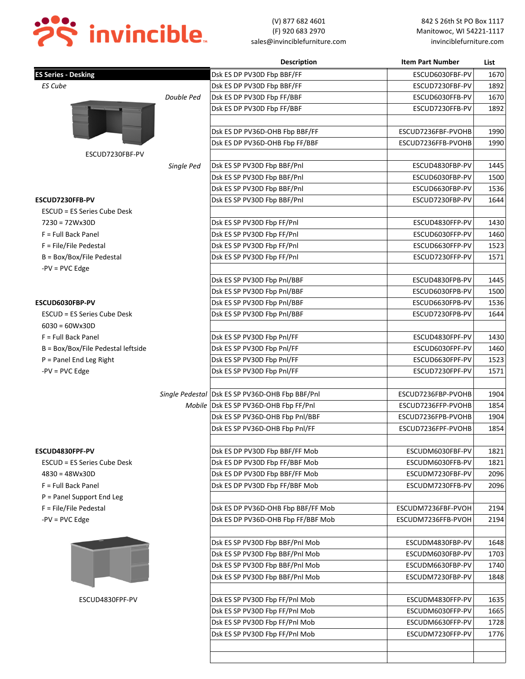

|                                    |            | <b>Description</b>                              | <b>Item Part Number</b> | List |
|------------------------------------|------------|-------------------------------------------------|-------------------------|------|
| <b>ES Series - Desking</b>         |            | Dsk ES DP PV30D Fbp BBF/FF                      | ESCUD6030FBF-PV         | 1670 |
| <b>ES Cube</b>                     |            | Dsk ES DP PV30D Fbp BBF/FF                      | ESCUD7230FBF-PV         | 1892 |
|                                    | Double Ped | Dsk ES DP PV30D Fbp FF/BBF                      | ESCUD6030FFB-PV         | 1670 |
|                                    |            | Dsk ES DP PV30D Fbp FF/BBF                      | ESCUD7230FFB-PV         | 1892 |
|                                    |            |                                                 |                         |      |
|                                    |            | Dsk ES DP PV36D-OHB Fbp BBF/FF                  | ESCUD7236FBF-PVOHB      | 1990 |
|                                    |            | Dsk ES DP PV36D-OHB Fbp FF/BBF                  | ESCUD7236FFB-PVOHB      | 1990 |
| ESCUD7230FBF-PV                    |            |                                                 |                         |      |
|                                    | Single Ped | Dsk ES SP PV30D Fbp BBF/Pnl                     | ESCUD4830FBP-PV         | 1445 |
|                                    |            | Dsk ES SP PV30D Fbp BBF/Pnl                     | ESCUD6030FBP-PV         | 1500 |
|                                    |            | Dsk ES SP PV30D Fbp BBF/Pnl                     | ESCUD6630FBP-PV         | 1536 |
| ESCUD7230FFB-PV                    |            | Dsk ES SP PV30D Fbp BBF/Pnl                     | ESCUD7230FBP-PV         | 1644 |
| ESCUD = ES Series Cube Desk        |            |                                                 |                         |      |
| $7230 = 72Wx30D$                   |            | Dsk ES SP PV30D Fbp FF/Pnl                      | ESCUD4830FFP-PV         | 1430 |
| $F = Full Back Panel$              |            | Dsk ES SP PV30D Fbp FF/Pnl                      | ESCUD6030FFP-PV         | 1460 |
| F = File/File Pedestal             |            | Dsk ES SP PV30D Fbp FF/Pnl                      | ESCUD6630FFP-PV         | 1523 |
| B = Box/Box/File Pedestal          |            | Dsk ES SP PV30D Fbp FF/Pnl                      | ESCUD7230FFP-PV         | 1571 |
| $-PV = PVC Edge$                   |            |                                                 |                         |      |
|                                    |            | Dsk ES SP PV30D Fbp Pnl/BBF                     | ESCUD4830FPB-PV         | 1445 |
|                                    |            | Dsk ES SP PV30D Fbp Pnl/BBF                     | ESCUD6030FPB-PV         | 1500 |
| ESCUD6030FBP-PV                    |            | Dsk ES SP PV30D Fbp Pnl/BBF                     | ESCUD6630FPB-PV         | 1536 |
| ESCUD = ES Series Cube Desk        |            | Dsk ES SP PV30D Fbp Pnl/BBF                     | ESCUD7230FPB-PV         | 1644 |
| $6030 = 60Wx30D$                   |            |                                                 |                         |      |
| $F = Full Back Panel$              |            | Dsk ES SP PV30D Fbp Pnl/FF                      | ESCUD4830FPF-PV         | 1430 |
| B = Box/Box/File Pedestal leftside |            | Dsk ES SP PV30D Fbp Pnl/FF                      | ESCUD6030FPF-PV         | 1460 |
| $P =$ Panel End Leg Right          |            | Dsk ES SP PV30D Fbp Pnl/FF                      | ESCUD6630FPF-PV         | 1523 |
| $-PV = PVC Edge$                   |            | Dsk ES SP PV30D Fbp Pnl/FF                      | ESCUD7230FPF-PV         | 1571 |
|                                    |            |                                                 |                         |      |
|                                    |            | Single Pedestal Dsk ES SP PV36D-OHB Fbp BBF/Pnl | ESCUD7236FBP-PVOHB      | 1904 |
|                                    |            | Mobile   Dsk ES SP PV36D-OHB Fbp FF/Pnl         | ESCUD7236FFP-PVOHB      | 1854 |
|                                    |            | Dsk ES SP PV36D-OHB Fbp Pnl/BBF                 | ESCUD7236FPB-PVOHB      | 1904 |
|                                    |            | Dsk ES SP PV36D-OHB Fbp Pnl/FF                  | ESCUD7236FPF-PVOHB      | 1854 |
|                                    |            |                                                 |                         |      |
| ESCUD4830FPF-PV                    |            | Dsk ES DP PV30D Fbp BBF/FF Mob                  | ESCUDM6030FBF-PV        | 1821 |
| ESCUD = ES Series Cube Desk        |            | Dsk ES DP PV30D Fbp FF/BBF Mob                  | ESCUDM6030FFB-PV        | 1821 |
| $4830 = 48Wx30D$                   |            | Dsk ES DP PV30D Fbp BBF/FF Mob                  | ESCUDM7230FBF-PV        | 2096 |
| F = Full Back Panel                |            | Dsk ES DP PV30D Fbp FF/BBF Mob                  | ESCUDM7230FFB-PV        | 2096 |
| P = Panel Support End Leg          |            |                                                 |                         |      |
| F = File/File Pedestal             |            | Dsk ES DP PV36D-OHB Fbp BBF/FF Mob              | ESCUDM7236FBF-PVOH      | 2194 |
| $-PV = PVC Edge$                   |            | Dsk ES DP PV36D-OHB Fbp FF/BBF Mob              | ESCUDM7236FFB-PVOH      | 2194 |
|                                    |            |                                                 |                         |      |
|                                    |            | Dsk ES SP PV30D Fbp BBF/Pnl Mob                 | ESCUDM4830FBP-PV        | 1648 |
|                                    |            | Dsk ES SP PV30D Fbp BBF/Pnl Mob                 | ESCUDM6030FBP-PV        | 1703 |
|                                    |            | Dsk ES SP PV30D Fbp BBF/Pnl Mob                 | ESCUDM6630FBP-PV        | 1740 |
|                                    |            | Dsk ES SP PV30D Fbp BBF/Pnl Mob                 | ESCUDM7230FBP-PV        | 1848 |
|                                    |            |                                                 |                         |      |
| ESCUD4830FPF-PV                    |            | Dsk ES SP PV30D Fbp FF/Pnl Mob                  | ESCUDM4830FFP-PV        | 1635 |
|                                    |            | Dsk ES SP PV30D Fbp FF/Pnl Mob                  | ESCUDM6030FFP-PV        | 1665 |
|                                    |            | Dsk ES SP PV30D Fbp FF/Pnl Mob                  | ESCUDM6630FFP-PV        | 1728 |
|                                    |            | Dsk ES SP PV30D Fbp FF/Pnl Mob                  | ESCUDM7230FFP-PV        | 1776 |
|                                    |            |                                                 |                         |      |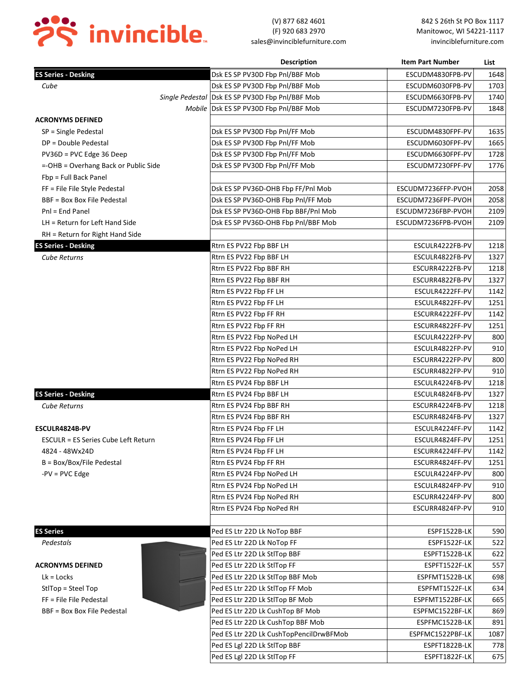

|                                      | <b>Description</b>                                | <b>Item Part Number</b> | List |
|--------------------------------------|---------------------------------------------------|-------------------------|------|
| <b>ES Series - Desking</b>           | Dsk ES SP PV30D Fbp Pnl/BBF Mob                   | ESCUDM4830FPB-PV        | 1648 |
| Cube                                 | Dsk ES SP PV30D Fbp Pnl/BBF Mob                   | ESCUDM6030FPB-PV        | 1703 |
|                                      | Single Pedestal   Dsk ES SP PV30D Fbp Pnl/BBF Mob | ESCUDM6630FPB-PV        | 1740 |
|                                      | Mobile Dsk ES SP PV30D Fbp Pnl/BBF Mob            | ESCUDM7230FPB-PV        | 1848 |
| <b>ACRONYMS DEFINED</b>              |                                                   |                         |      |
| SP = Single Pedestal                 | Dsk ES SP PV30D Fbp Pnl/FF Mob                    | ESCUDM4830FPF-PV        | 1635 |
| DP = Double Pedestal                 | Dsk ES SP PV30D Fbp Pnl/FF Mob                    | ESCUDM6030FPF-PV        | 1665 |
| PV36D = PVC Edge 36 Deep             | Dsk ES SP PV30D Fbp Pnl/FF Mob                    | ESCUDM6630FPF-PV        | 1728 |
| =-OHB = Overhang Back or Public Side | Dsk ES SP PV30D Fbp Pnl/FF Mob                    | ESCUDM7230FPF-PV        | 1776 |
| Fbp = Full Back Panel                |                                                   |                         |      |
| FF = File File Style Pedestal        | Dsk ES SP PV36D-OHB Fbp FF/Pnl Mob                | ESCUDM7236FFP-PVOH      | 2058 |
| BBF = Box Box File Pedestal          | Dsk ES SP PV36D-OHB Fbp Pnl/FF Mob                | ESCUDM7236FPF-PVOH      | 2058 |
| Pnl = End Panel                      | Dsk ES SP PV36D-OHB Fbp BBF/Pnl Mob               | ESCUDM7236FBP-PVOH      | 2109 |
| LH = Return for Left Hand Side       | Dsk ES SP PV36D-OHB Fbp Pnl/BBF Mob               | ESCUDM7236FPB-PVOH      | 2109 |
| RH = Return for Right Hand Side      |                                                   |                         |      |
| <b>ES Series - Desking</b>           | Rtrn ES PV22 Fbp BBF LH                           | ESCULR4222FB-PV         | 1218 |
| <b>Cube Returns</b>                  | Rtrn ES PV22 Fbp BBF LH                           | ESCULR4822FB-PV         | 1327 |
|                                      | Rtrn ES PV22 Fbp BBF RH                           | ESCURR4222FB-PV         | 1218 |
|                                      | Rtrn ES PV22 Fbp BBF RH                           | ESCURR4822FB-PV         | 1327 |
|                                      | Rtrn ES PV22 Fbp FF LH                            | ESCULR4222FF-PV         | 1142 |
|                                      | Rtrn ES PV22 Fbp FF LH                            | ESCULR4822FF-PV         | 1251 |
|                                      | Rtrn ES PV22 Fbp FF RH                            | ESCURR4222FF-PV         | 1142 |
|                                      | Rtrn ES PV22 Fbp FF RH                            | ESCURR4822FF-PV         | 1251 |
|                                      | Rtrn ES PV22 Fbp NoPed LH                         | ESCULR4222FP-PV         | 800  |
|                                      | Rtrn ES PV22 Fbp NoPed LH                         | ESCULR4822FP-PV         | 910  |
|                                      | Rtrn ES PV22 Fbp NoPed RH                         | ESCURR4222FP-PV         | 800  |
|                                      | Rtrn ES PV22 Fbp NoPed RH                         | ESCURR4822FP-PV         | 910  |
|                                      | Rtrn ES PV24 Fbp BBF LH                           | ESCULR4224FB-PV         | 1218 |
| <b>ES Series - Desking</b>           | Rtrn ES PV24 Fbp BBF LH                           | ESCULR4824FB-PV         | 1327 |
| <b>Cube Returns</b>                  | Rtrn ES PV24 Fbp BBF RH                           | ESCURR4224FB-PV         | 1218 |
|                                      | Rtrn ES PV24 Fbp BBF RH                           | ESCURR4824FB-PV         | 1327 |
| ESCULR4824B-PV                       | Rtrn ES PV24 Fbp FF LH                            | ESCULR4224FF-PV         | 1142 |
| ESCULR = ES Series Cube Left Return  | Rtrn ES PV24 Fbp FF LH                            | ESCULR4824FF-PV         | 1251 |
| 4824 - 48Wx24D                       | Rtrn ES PV24 Fbp FF LH                            | ESCURR4224FF-PV         | 1142 |
| $B = Box/Box/File Pedestal$          | Rtrn ES PV24 Fbp FF RH                            | ESCURR4824FF-PV         | 1251 |
| $-PV = PVC$ Edge                     | Rtrn ES PV24 Fbp NoPed LH                         | ESCULR4224FP-PV         | 800  |
|                                      | Rtrn ES PV24 Fbp NoPed LH                         | ESCULR4824FP-PV         | 910  |
|                                      | Rtrn ES PV24 Fbp NoPed RH                         | ESCURR4224FP-PV         | 800  |
|                                      | Rtrn ES PV24 Fbp NoPed RH                         | ESCURR4824FP-PV         | 910  |
|                                      |                                                   |                         |      |
| <b>ES Series</b>                     | Ped ES Ltr 22D Lk NoTop BBF                       | ESPF1522B-LK            | 590  |
| Pedestals                            | Ped ES Ltr 22D Lk NoTop FF                        | ESPF1522F-LK            | 522  |
|                                      | Ped ES Ltr 22D Lk StlTop BBF                      | ESPFT1522B-LK           | 622  |
| <b>ACRONYMS DEFINED</b>              | Ped ES Ltr 22D Lk StlTop FF                       | ESPFT1522F-LK           | 557  |
| $Lk = Locks$                         | Ped ES Ltr 22D Lk StlTop BBF Mob                  | ESPFMT1522B-LK          | 698  |
| StlTop = Steel Top                   | Ped ES Ltr 22D Lk StlTop FF Mob                   | ESPFMT1522F-LK          | 634  |
| FF = File File Pedestal              | Ped ES Ltr 22D Lk StlTop BF Mob                   | ESPFMT1522BF-LK         | 665  |
| BBF = Box Box File Pedestal          | Ped ES Ltr 22D Lk CushTop BF Mob                  | ESPFMC1522BF-LK         | 869  |
|                                      | Ped ES Ltr 22D Lk CushTop BBF Mob                 | ESPFMC1522B-LK          | 891  |
|                                      | Ped ES Ltr 22D Lk CushTopPencilDrwBFMob           | ESPFMC1522PBF-LK        | 1087 |
|                                      | Ped ES Lgl 22D Lk StlTop BBF                      | ESPFT1822B-LK           | 778  |
|                                      | Ped ES Lgl 22D Lk StlTop FF                       | ESPFT1822F-LK           | 675  |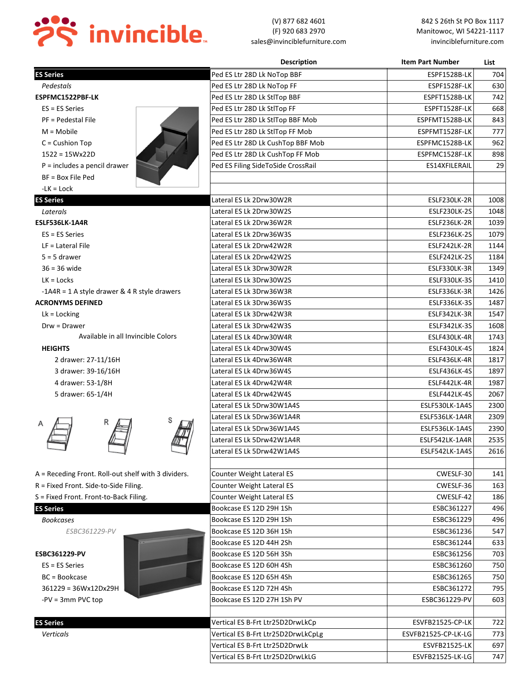

|                                                     | <b>Description</b>                 | <b>Item Part Number</b> | List |
|-----------------------------------------------------|------------------------------------|-------------------------|------|
| <b>ES Series</b>                                    | Ped ES Ltr 28D Lk NoTop BBF        | ESPF1528B-LK            | 704  |
| Pedestals                                           | Ped ES Ltr 28D Lk NoTop FF         | ESPF1528F-LK            | 630  |
| ESPFMC1522PBF-LK                                    | Ped ES Ltr 28D Lk StlTop BBF       | ESPFT1528B-LK           | 742  |
| $ES = ES Series$                                    | Ped ES Ltr 28D Lk StlTop FF        | ESPFT1528F-LK           | 668  |
| PF = Pedestal File                                  | Ped ES Ltr 28D Lk StlTop BBF Mob   | ESPFMT1528B-LK          | 843  |
| $M = Mobile$                                        | Ped ES Ltr 28D Lk StlTop FF Mob    | ESPFMT1528F-LK          | 777  |
| $C =$ Cushion Top                                   | Ped ES Ltr 28D Lk CushTop BBF Mob  | ESPFMC1528B-LK          | 962  |
| $1522 = 15Wx22D$                                    | Ped ES Ltr 28D Lk CushTop FF Mob   | ESPFMC1528F-LK          | 898  |
| $P =$ includes a pencil drawer                      | Ped ES Filing SideToSide CrossRail | ES14XFILERAIL           | 29   |
| BF = Box File Ped                                   |                                    |                         |      |
| -LK = Lock                                          |                                    |                         |      |
| <b>ES Series</b>                                    | Lateral ES Lk 2Drw30W2R            | ESLF230LK-2R            | 1008 |
| Laterals                                            | Lateral ES Lk 2Drw30W2S            | ESLF230LK-2S            | 1048 |
| ESLF536LK-1A4R                                      | Lateral ES Lk 2Drw36W2R            | ESLF236LK-2R            | 1039 |
| $ES = ES Series$                                    | Lateral ES Lk 2Drw36W3S            | ESLF236LK-2S            | 1079 |
| $LF = Lateral File$                                 | Lateral ES Lk 2Drw42W2R            | ESLF242LK-2R            | 1144 |
| $5 = 5$ drawer                                      | Lateral ES Lk 2Drw42W2S            | ESLF242LK-2S            | 1184 |
| $36 = 36$ wide                                      | Lateral ES Lk 3Drw30W2R            | ESLF330LK-3R            | 1349 |
| $LK = Locks$                                        | Lateral ES Lk 3Drw30W2S            | ESLF330LK-3S            | 1410 |
| -1A4R = 1 A style drawer & 4 R style drawers        | Lateral ES Lk 3Drw36W3R            | ESLF336LK-3R            | 1426 |
| <b>ACRONYMS DEFINED</b>                             | Lateral ES Lk 3Drw36W3S            | ESLF336LK-3S            | 1487 |
| $Lk =$ Locking                                      | Lateral ES Lk 3Drw42W3R            | ESLF342LK-3R            | 1547 |
| Drw = Drawer                                        | Lateral ES Lk 3Drw42W3S            | <b>ESLF342LK-3S</b>     | 1608 |
| Available in all Invincible Colors                  | Lateral ES Lk 4Drw30W4R            | ESLF430LK-4R            | 1743 |
| <b>HEIGHTS</b>                                      | Lateral ES Lk 4Drw30W4S            | ESLF430LK-4S            | 1824 |
| 2 drawer: 27-11/16H                                 | Lateral ES Lk 4Drw36W4R            | ESLF436LK-4R            | 1817 |
| 3 drawer: 39-16/16H                                 | Lateral ES Lk 4Drw36W4S            | ESLF436LK-4S            | 1897 |
| 4 drawer: 53-1/8H                                   | Lateral ES Lk 4Drw42W4R            | ESLF442LK-4R            | 1987 |
| 5 drawer: 65-1/4H                                   | Lateral ES Lk 4Drw42W4S            | ESLF442LK-4S            | 2067 |
|                                                     | Lateral ES Lk 5Drw30W1A4S          | ESLF530LK-1A4S          | 2300 |
|                                                     | Lateral ES Lk 5Drw36W1A4R          | ESLF536LK-1A4R          | 2309 |
|                                                     | Lateral ES Lk 5Drw36W1A4S          | ESLF536LK-1A4S          | 2390 |
|                                                     | Lateral ES Lk 5Drw42W1A4R          | ESLF542LK-1A4R          | 2535 |
|                                                     | Lateral ES Lk 5Drw42W1A4S          | ESLF542LK-1A4S          | 2616 |
|                                                     |                                    |                         |      |
| A = Receding Front. Roll-out shelf with 3 dividers. | Counter Weight Lateral ES          | CWESLF-30               | 141  |
| R = Fixed Front. Side-to-Side Filing.               | Counter Weight Lateral ES          | CWESLF-36               | 163  |
| S = Fixed Front. Front-to-Back Filing.              | Counter Weight Lateral ES          | CWESLF-42               | 186  |
| <b>ES Series</b>                                    | Bookcase ES 12D 29H 1Sh            | ESBC361227              | 496  |
| <b>Bookcases</b>                                    | Bookcase ES 12D 29H 1Sh            | ESBC361229              | 496  |
| ESBC361229-PV                                       | Bookcase ES 12D 36H 1Sh            | ESBC361236              | 547  |
|                                                     | Bookcase ES 12D 44H 2Sh            | ESBC361244              | 633  |
| ESBC361229-PV                                       | Bookcase ES 12D 56H 3Sh            | ESBC361256              | 703  |
| ES = ES Series                                      | Bookcase ES 12D 60H 4Sh            | ESBC361260              | 750  |
| BC = Bookcase                                       | Bookcase ES 12D 65H 4Sh            | ESBC361265              | 750  |
| 361229 = 36Wx12Dx29H                                | Bookcase ES 12D 72H 4Sh            | ESBC361272              | 795  |
| $-PV = 3mm$ PVC top                                 | Bookcase ES 12D 27H 1Sh PV         | ESBC361229-PV           | 603  |
|                                                     |                                    |                         |      |
| <b>ES Series</b>                                    | Vertical ES B-Frt Ltr25D2DrwLkCp   | ESVFB21525-CP-LK        | 722  |
| Verticals                                           | Vertical ES B-Frt Ltr25D2DrwLkCpLg | ESVFB21525-CP-LK-LG     | 773  |
|                                                     | Vertical ES B-Frt Ltr25D2DrwLk     | <b>ESVFB21525-LK</b>    | 697  |
|                                                     |                                    |                         |      |
|                                                     | Vertical ES B-Frt Ltr25D2DrwLkLG   | ESVFB21525-LK-LG        | 747  |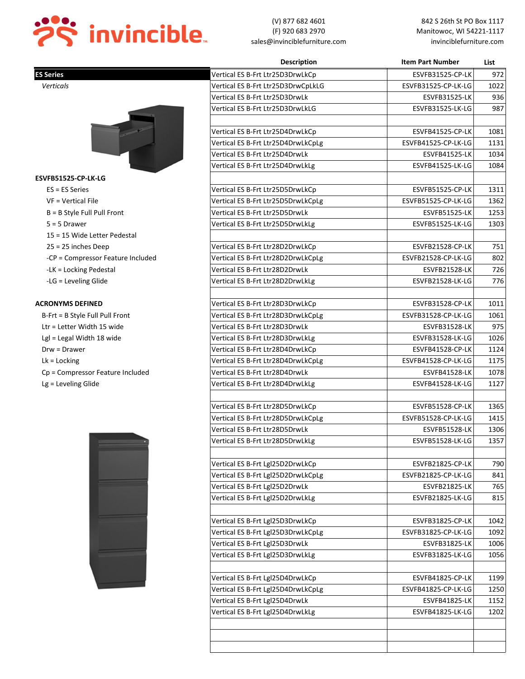

|                                   | <b>Description</b>                 | <b>Item Part Number</b> | List |
|-----------------------------------|------------------------------------|-------------------------|------|
| <b>ES Series</b>                  | Vertical ES B-Frt Ltr25D3DrwLkCp   | <b>ESVFB31525-CP-LK</b> | 972  |
| Verticals                         | Vertical ES B-Frt Ltr25D3DrwCpLkLG | ESVFB31525-CP-LK-LG     | 1022 |
|                                   | Vertical ES B-Frt Ltr25D3DrwLk     | <b>ESVFB31525-LK</b>    | 936  |
|                                   | Vertical ES B-Frt Ltr25D3DrwLkLG   | ESVFB31525-LK-LG        | 987  |
|                                   |                                    |                         |      |
|                                   | Vertical ES B-Frt Ltr25D4DrwLkCp   | ESVFB41525-CP-LK        | 1081 |
|                                   | Vertical ES B-Frt Ltr25D4DrwLkCpLg | ESVFB41525-CP-LK-LG     | 1131 |
|                                   | Vertical ES B-Frt Ltr25D4DrwLk     | <b>ESVFB41525-LK</b>    | 1034 |
|                                   | Vertical ES B-Frt Ltr25D4DrwLkLg   | ESVFB41525-LK-LG        | 1084 |
| ESVFB51525-CP-LK-LG               |                                    |                         |      |
| $ES = ES Series$                  | Vertical ES B-Frt Ltr25D5DrwLkCp   | <b>ESVFB51525-CP-LK</b> | 1311 |
| VF = Vertical File                | Vertical ES B-Frt Ltr25D5DrwLkCpLg | ESVFB51525-CP-LK-LG     | 1362 |
| B = B Style Full Pull Front       | Vertical ES B-Frt Ltr25D5DrwLk     | <b>ESVFB51525-LK</b>    | 1253 |
| $5 = 5$ Drawer                    | Vertical ES B-Frt Ltr25D5DrwLkLg   | ESVFB51525-LK-LG        | 1303 |
| 15 = 15 Wide Letter Pedestal      |                                    |                         |      |
| $25 = 25$ inches Deep             | Vertical ES B-Frt Ltr28D2DrwLkCp   | ESVFB21528-CP-LK        | 751  |
| -CP = Compressor Feature Included | Vertical ES B-Frt Ltr28D2DrwLkCpLg | ESVFB21528-CP-LK-LG     | 802  |
| -LK = Locking Pedestal            | Vertical ES B-Frt Ltr28D2DrwLk     | <b>ESVFB21528-LK</b>    | 726  |
| -LG = Leveling Glide              | Vertical ES B-Frt Ltr28D2DrwLkLg   | ESVFB21528-LK-LG        | 776  |
|                                   |                                    |                         |      |
| <b>ACRONYMS DEFINED</b>           | Vertical ES B-Frt Ltr28D3DrwLkCp   | ESVFB31528-CP-LK        | 1011 |
| B-Frt = B Style Full Pull Front   | Vertical ES B-Frt Ltr28D3DrwLkCpLg | ESVFB31528-CP-LK-LG     | 1061 |
| Ltr = Letter Width 15 wide        | Vertical ES B-Frt Ltr28D3DrwLk     | <b>ESVFB31528-LK</b>    | 975  |
| Lgl = Legal Width 18 wide         | Vertical ES B-Frt Ltr28D3DrwLkLg   | ESVFB31528-LK-LG        | 1026 |
| $Draw = Drawer$                   | Vertical ES B-Frt Ltr28D4DrwLkCp   | ESVFB41528-CP-LK        | 1124 |
| $Lk =$ Locking                    | Vertical ES B-Frt Ltr28D4DrwLkCpLg | ESVFB41528-CP-LK-LG     | 1175 |
| Cp = Compressor Feature Included  | Vertical ES B-Frt Ltr28D4DrwLk     | <b>ESVFB41528-LK</b>    | 1078 |
| Lg = Leveling Glide               | Vertical ES B-Frt Ltr28D4DrwLkLg   | ESVFB41528-LK-LG        | 1127 |
|                                   |                                    |                         |      |
|                                   | Vertical ES B-Frt Ltr28D5DrwLkCp   | ESVFB51528-CP-LK        | 1365 |
|                                   | Vertical ES B-Frt Ltr28D5DrwLkCpLg | ESVFB51528-CP-LK-LG     | 1415 |
|                                   | Vertical ES B-Frt Ltr28D5DrwLk     | <b>ESVFB51528-LK</b>    | 1306 |
|                                   | Vertical ES B-Frt Ltr28D5DrwLkLg   | ESVFB51528-LK-LG        | 1357 |
|                                   |                                    |                         |      |
|                                   | Vertical ES B-Frt Lgl25D2DrwLkCp   | ESVFB21825-CP-LK        | 790  |
|                                   | Vertical ES B-Frt Lgl25D2DrwLkCpLg | ESVFB21825-CP-LK-LG     | 841  |
|                                   | Vertical ES B-Frt Lgl25D2DrwLk     | <b>ESVFB21825-LK</b>    | 765  |
|                                   | Vertical ES B-Frt Lgl25D2DrwLkLg   | ESVFB21825-LK-LG        | 815  |
|                                   |                                    |                         |      |
|                                   | Vertical ES B-Frt Lgl25D3DrwLkCp   | ESVFB31825-CP-LK        | 1042 |
|                                   | Vertical ES B-Frt Lgl25D3DrwLkCpLg | ESVFB31825-CP-LK-LG     | 1092 |
|                                   | Vertical ES B-Frt Lgl25D3DrwLk     | <b>ESVFB31825-LK</b>    | 1006 |
|                                   | Vertical ES B-Frt Lgl25D3DrwLkLg   | ESVFB31825-LK-LG        | 1056 |
|                                   |                                    |                         |      |
|                                   | Vertical ES B-Frt Lgl25D4DrwLkCp   | ESVFB41825-CP-LK        | 1199 |
|                                   | Vertical ES B-Frt Lgl25D4DrwLkCpLg | ESVFB41825-CP-LK-LG     | 1250 |
|                                   | Vertical ES B-Frt Lgl25D4DrwLk     | <b>ESVFB41825-LK</b>    | 1152 |
|                                   | Vertical ES B-Frt Lgl25D4DrwLkLg   | ESVFB41825-LK-LG        | 1202 |
|                                   |                                    |                         |      |
|                                   |                                    |                         |      |